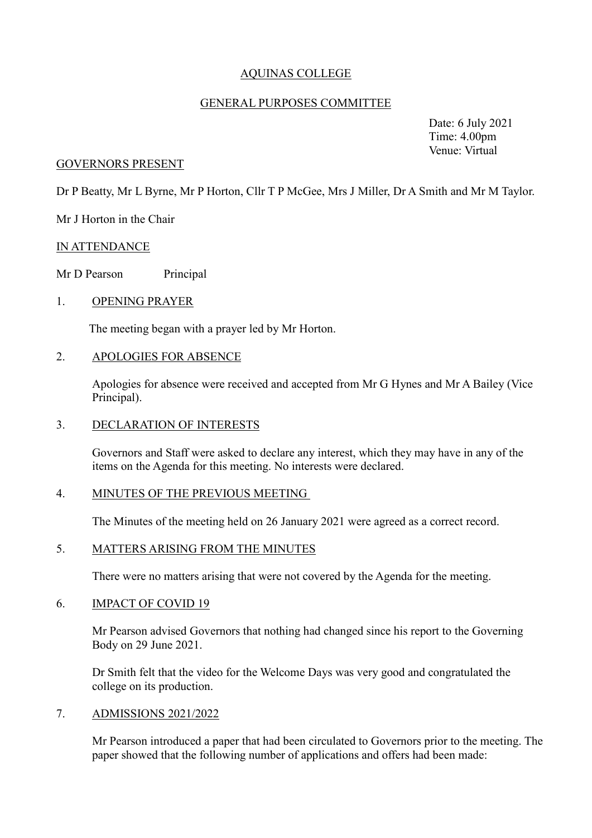## AQUINAS COLLEGE

## GENERAL PURPOSES COMMITTEE

Date: 6 July 2021 Time: 4.00pm Venue: Virtual

### GOVERNORS PRESENT

Dr P Beatty, Mr L Byrne, Mr P Horton, Cllr T P McGee, Mrs J Miller, Dr A Smith and Mr M Taylor.

Mr J Horton in the Chair

#### IN ATTENDANCE

Mr D Pearson Principal

## 1. OPENING PRAYER

The meeting began with a prayer led by Mr Horton.

### 2. APOLOGIES FOR ABSENCE

Apologies for absence were received and accepted from Mr G Hynes and Mr A Bailey (Vice Principal).

### 3. DECLARATION OF INTERESTS

Governors and Staff were asked to declare any interest, which they may have in any of the items on the Agenda for this meeting. No interests were declared.

### 4. MINUTES OF THE PREVIOUS MEETING

The Minutes of the meeting held on 26 January 2021 were agreed as a correct record.

### 5. MATTERS ARISING FROM THE MINUTES

There were no matters arising that were not covered by the Agenda for the meeting.

### 6. IMPACT OF COVID 19

Mr Pearson advised Governors that nothing had changed since his report to the Governing Body on 29 June 2021.

Dr Smith felt that the video for the Welcome Days was very good and congratulated the college on its production.

#### 7. ADMISSIONS 2021/2022

Mr Pearson introduced a paper that had been circulated to Governors prior to the meeting. The paper showed that the following number of applications and offers had been made: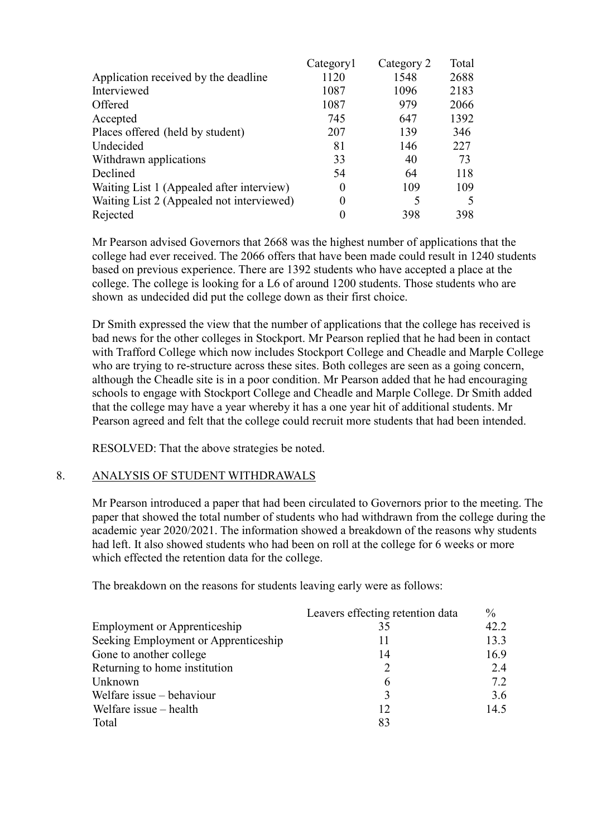|                                           | Category1 | Category 2 | Total |
|-------------------------------------------|-----------|------------|-------|
| Application received by the deadline      | 1120      | 1548       | 2688  |
| Interviewed                               | 1087      | 1096       | 2183  |
| Offered                                   | 1087      | 979        | 2066  |
| Accepted                                  | 745       | 647        | 1392  |
| Places offered (held by student)          | 207       | 139        | 346   |
| Undecided                                 | 81        | 146        | 227   |
| Withdrawn applications                    | 33        | 40         | 73    |
| Declined                                  | 54        | 64         | 118   |
| Waiting List 1 (Appealed after interview) | $\theta$  | 109        | 109   |
| Waiting List 2 (Appealed not interviewed) | $\theta$  |            |       |
| Rejected                                  |           | 398        | 398   |
|                                           |           |            |       |

Mr Pearson advised Governors that 2668 was the highest number of applications that the college had ever received. The 2066 offers that have been made could result in 1240 students based on previous experience. There are 1392 students who have accepted a place at the college. The college is looking for a L6 of around 1200 students. Those students who are shown as undecided did put the college down as their first choice.

Dr Smith expressed the view that the number of applications that the college has received is bad news for the other colleges in Stockport. Mr Pearson replied that he had been in contact with Trafford College which now includes Stockport College and Cheadle and Marple College who are trying to re-structure across these sites. Both colleges are seen as a going concern, although the Cheadle site is in a poor condition. Mr Pearson added that he had encouraging schools to engage with Stockport College and Cheadle and Marple College. Dr Smith added that the college may have a year whereby it has a one year hit of additional students. Mr Pearson agreed and felt that the college could recruit more students that had been intended.

RESOLVED: That the above strategies be noted.

## 8. ANALYSIS OF STUDENT WITHDRAWALS

Mr Pearson introduced a paper that had been circulated to Governors prior to the meeting. The paper that showed the total number of students who had withdrawn from the college during the academic year 2020/2021. The information showed a breakdown of the reasons why students had left. It also showed students who had been on roll at the college for 6 weeks or more which effected the retention data for the college.

The breakdown on the reasons for students leaving early were as follows:

|                                      | Leavers effecting retention data | $\frac{0}{0}$ |
|--------------------------------------|----------------------------------|---------------|
| <b>Employment or Apprenticeship</b>  | 35                               | 42.2          |
| Seeking Employment or Apprenticeship |                                  | 13.3          |
| Gone to another college              | 14                               | 16.9          |
| Returning to home institution        |                                  | 2.4           |
| Unknown                              | 6                                | 7.2           |
| Welfare issue – behaviour            |                                  | 3.6           |
| Welfare issue – health               | 12                               | 14.5          |
| Total                                | 83                               |               |
|                                      |                                  |               |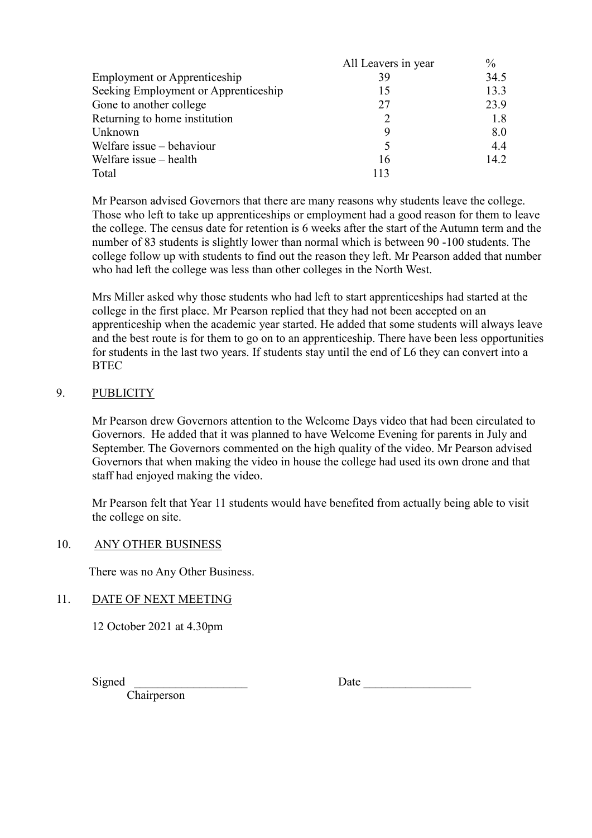|                                      | All Leavers in year | $\frac{0}{0}$ |
|--------------------------------------|---------------------|---------------|
| <b>Employment or Apprenticeship</b>  | 39                  | 34.5          |
| Seeking Employment or Apprenticeship | 15                  | 13.3          |
| Gone to another college              | 27                  | 23.9          |
| Returning to home institution        |                     | 1.8           |
| Unknown                              | 9                   | 8.0           |
| Welfare issue – behaviour            |                     | 4.4           |
| Welfare issue – health               | 16                  | 14.2          |
| Total                                |                     |               |

Mr Pearson advised Governors that there are many reasons why students leave the college. Those who left to take up apprenticeships or employment had a good reason for them to leave the college. The census date for retention is 6 weeks after the start of the Autumn term and the number of 83 students is slightly lower than normal which is between 90 -100 students. The college follow up with students to find out the reason they left. Mr Pearson added that number who had left the college was less than other colleges in the North West.

Mrs Miller asked why those students who had left to start apprenticeships had started at the college in the first place. Mr Pearson replied that they had not been accepted on an apprenticeship when the academic year started. He added that some students will always leave and the best route is for them to go on to an apprenticeship. There have been less opportunities for students in the last two years. If students stay until the end of L6 they can convert into a **BTEC** 

## 9. PUBLICITY

Mr Pearson drew Governors attention to the Welcome Days video that had been circulated to Governors. He added that it was planned to have Welcome Evening for parents in July and September. The Governors commented on the high quality of the video. Mr Pearson advised Governors that when making the video in house the college had used its own drone and that staff had enjoyed making the video.

Mr Pearson felt that Year 11 students would have benefited from actually being able to visit the college on site.

## 10. ANY OTHER BUSINESS

There was no Any Other Business.

# 11. DATE OF NEXT MEETING

12 October 2021 at 4.30pm

Signed

Date  $\qquad \qquad$ 

Chairperson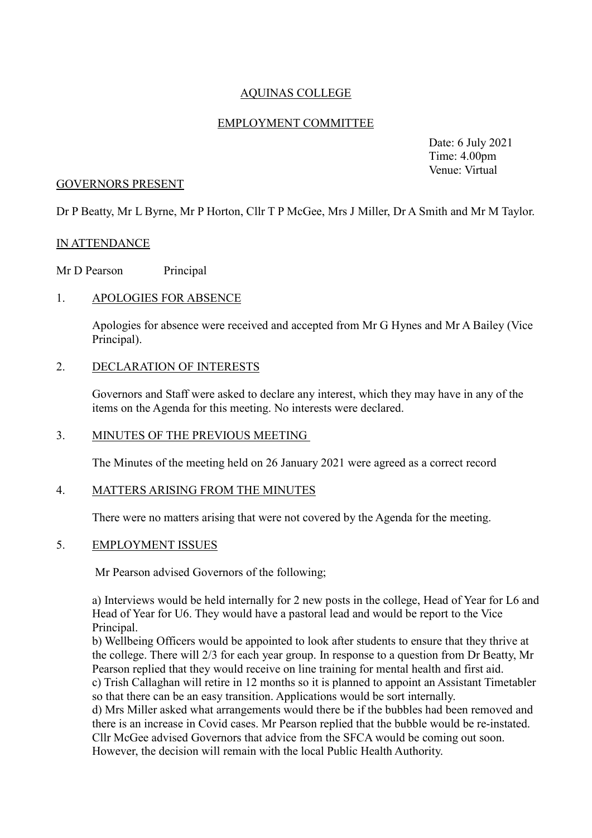## AQUINAS COLLEGE

## EMPLOYMENT COMMITTEE

Date: 6 July 2021 Time: 4.00pm Venue: Virtual

#### GOVERNORS PRESENT

Dr P Beatty, Mr L Byrne, Mr P Horton, Cllr T P McGee, Mrs J Miller, Dr A Smith and Mr M Taylor.

### IN ATTENDANCE

Mr D Pearson Principal

## 1. APOLOGIES FOR ABSENCE

Apologies for absence were received and accepted from Mr G Hynes and Mr A Bailey (Vice Principal).

## 2. DECLARATION OF INTERESTS

Governors and Staff were asked to declare any interest, which they may have in any of the items on the Agenda for this meeting. No interests were declared.

## 3. MINUTES OF THE PREVIOUS MEETING

The Minutes of the meeting held on 26 January 2021 were agreed as a correct record

## 4. MATTERS ARISING FROM THE MINUTES

There were no matters arising that were not covered by the Agenda for the meeting.

## 5. EMPLOYMENT ISSUES

Mr Pearson advised Governors of the following;

a) Interviews would be held internally for 2 new posts in the college, Head of Year for L6 and Head of Year for U6. They would have a pastoral lead and would be report to the Vice Principal.

b) Wellbeing Officers would be appointed to look after students to ensure that they thrive at the college. There will 2/3 for each year group. In response to a question from Dr Beatty, Mr Pearson replied that they would receive on line training for mental health and first aid.

c) Trish Callaghan will retire in 12 months so it is planned to appoint an Assistant Timetabler so that there can be an easy transition. Applications would be sort internally.

d) Mrs Miller asked what arrangements would there be if the bubbles had been removed and there is an increase in Covid cases. Mr Pearson replied that the bubble would be re-instated. Cllr McGee advised Governors that advice from the SFCA would be coming out soon. However, the decision will remain with the local Public Health Authority.